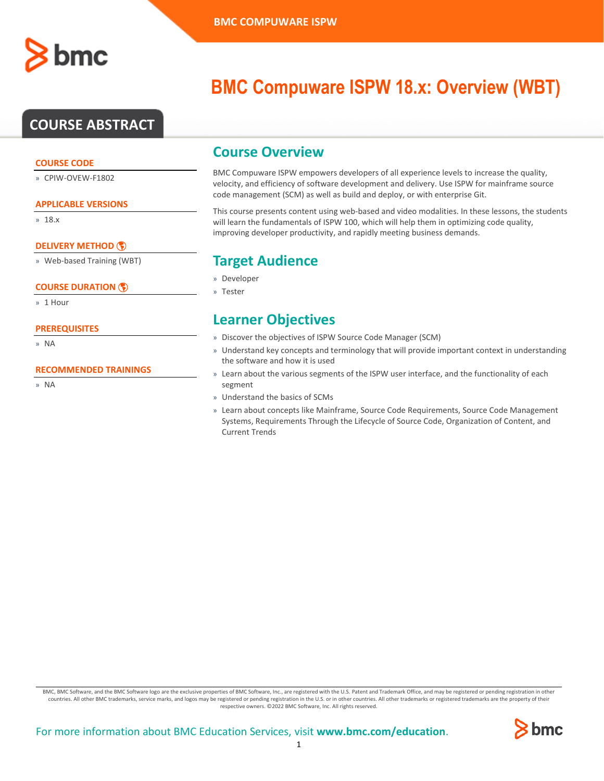

# **COURSE ABSTRACT**

### **COURSE CODE**

» CPIW-OVEW-F1802

### **APPLICABLE VERSIONS**

» 18.x

### **[DELIVERY METHOD](http://www.bmc.com/education/modality.html)**

» Web-based Training (WBT)

### **[COURSE DURATION](http://www.bmc.com/education/learning-paths/education-filters-learning-paths.html)**

» 1 Hour

### **PREREQUISITES**

» NA

### **RECOMMENDED TRAININGS**

» NA

# **BMC Compuware ISPW 18.x: Overview (WBT)**

### **Course Overview**

BMC Compuware ISPW empowers developers of all experience levels to increase the quality, velocity, and efficiency of software development and delivery. Use ISPW for mainframe source code management (SCM) as well as build and deploy, or with enterprise Git.

This course presents content using web-based and video modalities. In these lessons, the students will learn the fundamentals of ISPW 100, which will help them in optimizing code quality, improving developer productivity, and rapidly meeting business demands.

# **Target Audience**

- » Developer
- » Tester

### **Learner Objectives**

- » Discover the objectives of ISPW Source Code Manager (SCM)
- » Understand key concepts and terminology that will provide important context in understanding the software and how it is used
- » Learn about the various segments of the ISPW user interface, and the functionality of each segment
- » Understand the basics of SCMs
- » Learn about concepts like Mainframe, Source Code Requirements, Source Code Management Systems, Requirements Through the Lifecycle of Source Code, Organization of Content, and Current Trends

BMC, BMC Software, and the BMC Software logo are the exclusive properties of BMC Software, Inc., are registered with the U.S. Patent and Trademark Office, and may be registered or pending registration in other countries. All other BMC trademarks, service marks, and logos may be registered or pending registration in the U.S. or in other countries. All other trademarks or registered trademarks are the property of their respective owners. ©2022 BMC Software, Inc. All rights reserved.